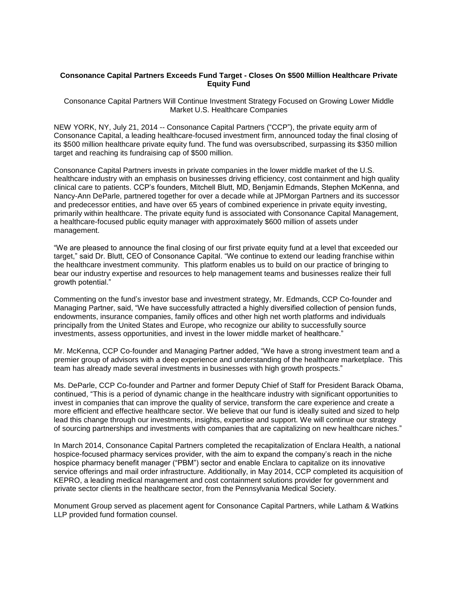## **Consonance Capital Partners Exceeds Fund Target - Closes On \$500 Million Healthcare Private Equity Fund**

Consonance Capital Partners Will Continue Investment Strategy Focused on Growing Lower Middle Market U.S. Healthcare Companies

NEW YORK, NY, July 21, 2014 -- Consonance Capital Partners ("CCP"), the private equity arm of Consonance Capital, a leading healthcare-focused investment firm, announced today the final closing of its \$500 million healthcare private equity fund. The fund was oversubscribed, surpassing its \$350 million target and reaching its fundraising cap of \$500 million.

Consonance Capital Partners invests in private companies in the lower middle market of the U.S. healthcare industry with an emphasis on businesses driving efficiency, cost containment and high quality clinical care to patients. CCP's founders, Mitchell Blutt, MD, Benjamin Edmands, Stephen McKenna, and Nancy-Ann DeParle, partnered together for over a decade while at JPMorgan Partners and its successor and predecessor entities, and have over 65 years of combined experience in private equity investing, primarily within healthcare. The private equity fund is associated with Consonance Capital Management, a healthcare-focused public equity manager with approximately \$600 million of assets under management.

"We are pleased to announce the final closing of our first private equity fund at a level that exceeded our target," said Dr. Blutt, CEO of Consonance Capital. "We continue to extend our leading franchise within the healthcare investment community. This platform enables us to build on our practice of bringing to bear our industry expertise and resources to help management teams and businesses realize their full growth potential."

Commenting on the fund's investor base and investment strategy, Mr. Edmands, CCP Co-founder and Managing Partner, said, "We have successfully attracted a highly diversified collection of pension funds, endowments, insurance companies, family offices and other high net worth platforms and individuals principally from the United States and Europe, who recognize our ability to successfully source investments, assess opportunities, and invest in the lower middle market of healthcare."

Mr. McKenna, CCP Co-founder and Managing Partner added, "We have a strong investment team and a premier group of advisors with a deep experience and understanding of the healthcare marketplace. This team has already made several investments in businesses with high growth prospects."

Ms. DeParle, CCP Co-founder and Partner and former Deputy Chief of Staff for President Barack Obama, continued, "This is a period of dynamic change in the healthcare industry with significant opportunities to invest in companies that can improve the quality of service, transform the care experience and create a more efficient and effective healthcare sector. We believe that our fund is ideally suited and sized to help lead this change through our investments, insights, expertise and support. We will continue our strategy of sourcing partnerships and investments with companies that are capitalizing on new healthcare niches."

In March 2014, Consonance Capital Partners completed the recapitalization of Enclara Health, a national hospice-focused pharmacy services provider, with the aim to expand the company's reach in the niche hospice pharmacy benefit manager ("PBM") sector and enable Enclara to capitalize on its innovative service offerings and mail order infrastructure. Additionally, in May 2014, CCP completed its acquisition of KEPRO, a leading medical management and cost containment solutions provider for government and private sector clients in the healthcare sector, from the Pennsylvania Medical Society.

Monument Group served as placement agent for Consonance Capital Partners, while Latham & Watkins LLP provided fund formation counsel.